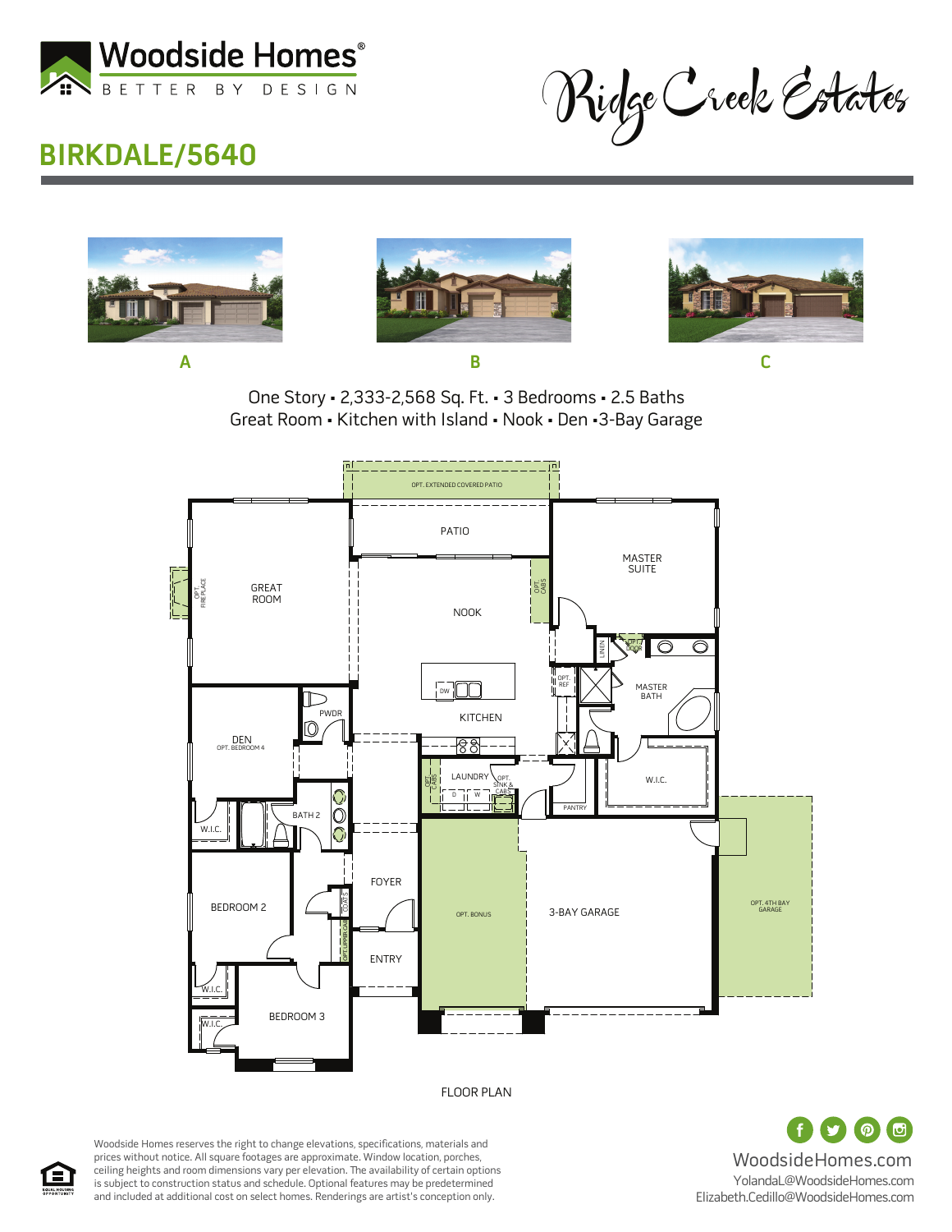

Ridge Creek Estates

## **BIRKDALE/5640**







One Story • 2,333-2,568 Sq. Ft. • 3 Bedrooms • 2.5 Baths Great Room • Kitchen with Island • Nook • Den •3-Bay Garage



FLOOR PLAN

 $\odot$   $\odot$ WoodsideHomes.com YolandaL@WoodsideHomes.com Elizabeth.Cedillo@WoodsideHomes.com